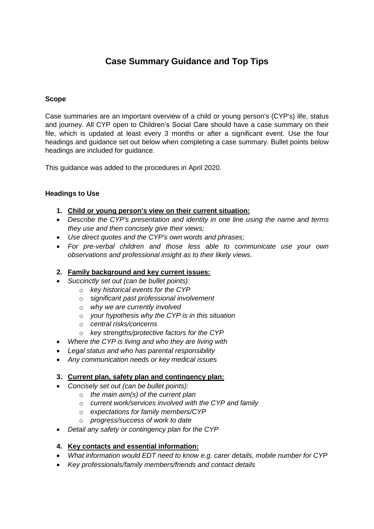# **Case Summary Guidance and Top Tips**

#### **Scope**

Case summaries are an important overview of a child or young person's (CYP's) life, status and journey. All CYP open to Children's Social Care should have a case summary on their file, which is updated at least every 3 months or after a significant event. Use the four headings and guidance set out below when completing a case summary. Bullet points below headings are included for guidance.

This guidance was added to the procedures in April 2020.

### **Headings to Use**

- **1. Child or young person's view on their current situation:**
- *Describe the CYP's presentation and identity in one line using the name and terms they use and then concisely give their views;*
- *Use direct quotes and the CYP's own words and phrases;*
- *For pre-verbal children and those less able to communicate use your own observations and professional insight as to their likely views.*

# **2. Family background and key current issues:**

- *Succinctly set out (can be bullet points):*
	- o *key historical events for the CYP*
	- o *significant past professional involvement*
	- o *why we are currently involved*
	- o *your hypothesis why the CYP is in this situation*
	- o *central risks/concerns*
	- o *key strengths/protective factors for the CYP*
- *Where the CYP is living and who they are living with*
- *Legal status and who has parental responsibility*
- *Any communication needs or key medical issues*

#### **3. Current plan, safety plan and contingency plan:**

- *Concisely set out (can be bullet points):* 
	- o *the main aim(s) of the current plan*
	- o *current work/services involved with the CYP and family*
	- o *expectations for family members/CYP*
	- o *progress/success of work to date*
- *Detail any safety or contingency plan for the CYP*

# **4. Key contacts and essential information:**

- *What information would EDT need to know e.g. carer details, mobile number for CYP*
- *Key professionals/family members/friends and contact details*